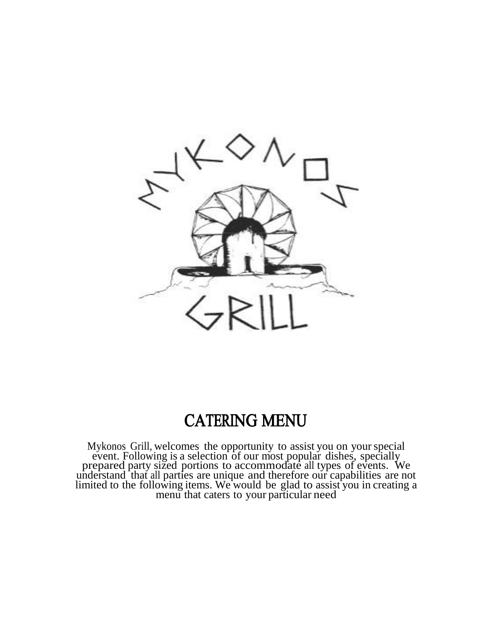

# CATERING MENU

 Mykonos Grill, welcomes the opportunity to assist you on yourspecial event. Following is a selection of our most popular dishes, specially prepared party sized portions to accommodate all types of events. We understand that all parties are unique and therefore our capabilities are not limited to the following items. We would be glad to assist you in creating a menu that caters to your particular need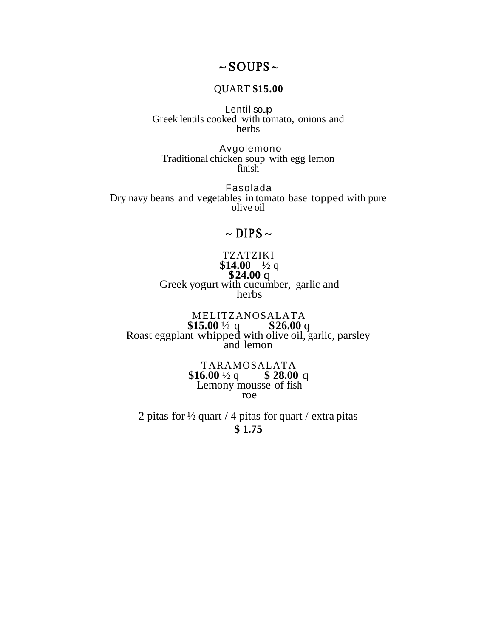## $\sim$  SOUPS  $\sim$

#### QUART **\$15.00**

Lentil soup Greek lentils cooked with tomato, onions and herbs

Avgolemono Traditional chicken soup with egg lemon finish

Fasolada Dry navy beans and vegetables in tomato base topped with pure olive oil

## $\sim$  DIPS  $\sim$

TZATZIKI \$14.00  $\frac{1}{2}$  q **\$24.00** q Greek yogurt with cucumber, garlic and herbs

MELITZANOSALATA **\$15.00** ½ q **\$26.00** q Roast eggplant whipped with olive oil, garlic, parsley and lemon

> TARAMOSALATA  $$16.00\frac{1}{2}q \qquad $28.00 q$ Lemony mousse of fish roe

2 pitas for  $\frac{1}{2}$  quart / 4 pitas for quart / extra pitas **\$ 1.75**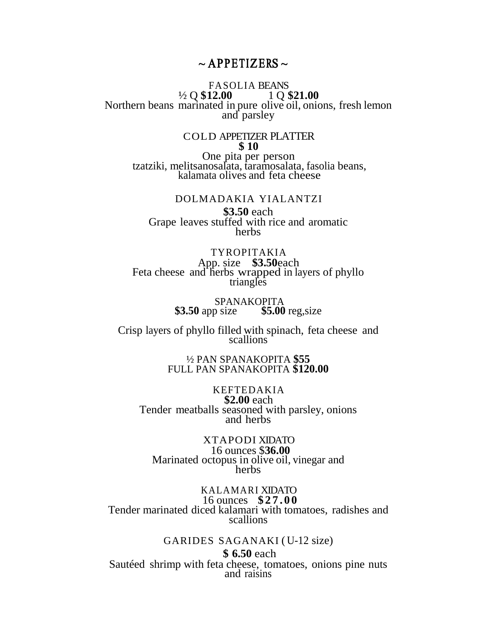### $\sim$  APPETIZERS  $\sim$

#### FASOLIA BEANS ½ Q **\$12.00** 1 Q **\$21.00** Northern beans marinated in pure olive oil, onions, fresh lemon and parsley

#### COLD APPETIZER PLATTER **\$ 10**

One pita per person tzatziki, melitsanosalata, taramosalata, fasolia beans, kalamata olives and feta cheese

DOLMADAKIA YIALANTZI **\$3.50** each Grape leaves stuffed with rice and aromatic **herbs** 

TYROPITAKIA App. size **\$3.50**each Feta cheese and herbs wrapped in layers of phyllo triangles

> SPANAKOPITA **\$3.50** app size **\$5.00** reg,size

Crisp layers of phyllo filled with spinach, feta cheese and scallions

> ½ PAN SPANAKOPITA **\$55** FULL PAN SPANAKOPITA **\$120.00**

KEFTEDAKIA **\$2.00** each Tender meatballs seasoned with parsley, onions and herbs

XTAPODI XIDATO 16 ounces \$**36.00** Marinated octopus in olive oil, vinegar and herbs

KALAMARI XIDATO 16 ounces **\$27 . 0 0** Tender marinated diced kalamari with tomatoes, radishes and scallions

> GARIDES SAGANAKI ( U-12 size) **\$ 6.50** each

Sautéed shrimp with feta cheese, tomatoes, onions pine nuts and raisins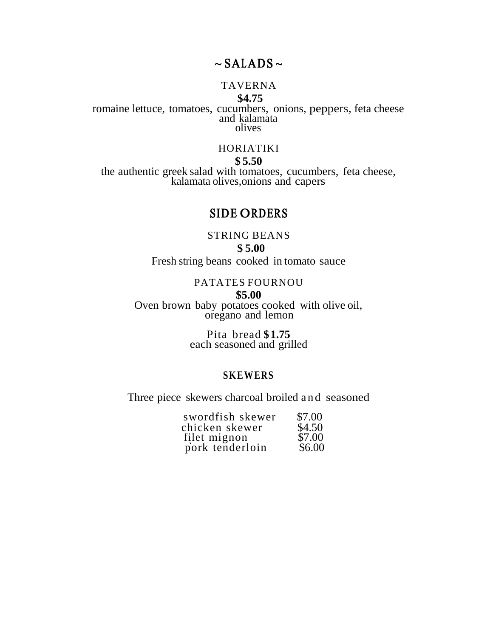## $\sim$  SALADS  $\sim$

## TAVERNA

#### **\$4.75**

romaine lettuce, tomatoes, cucumbers, onions, peppers, feta cheese and kalamata olives

#### HORIATIKI

**\$ 5.50**

the authentic greek salad with tomatoes, cucumbers, feta cheese, kalamata olives,onions and capers

## SIDE ORDERS

#### STRING BEANS

**\$ 5.00**  Fresh string beans cooked in tomato sauce

#### PATATES FOURNOU

**\$5.00**

Oven brown baby potatoes cooked with olive oil, oregano and lemon

> Pita bread **\$1.75** each seasoned and grilled

#### **SKEWERS**

Three piece skewers charcoal broiled and seasoned

| swordfish skewer | \$7.00 |
|------------------|--------|
| chicken skewer   | \$4.50 |
| filet mignon     | \$7.00 |
| pork tenderloin  | \$6.00 |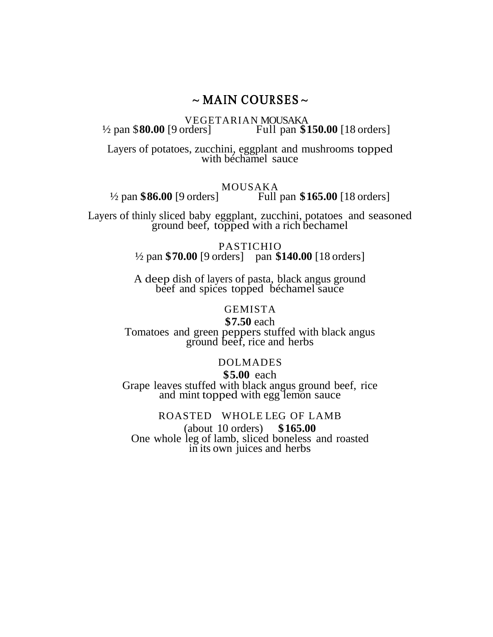## $\sim$  MAIN COURSES  $\sim$

VEGETARIAN MOUSAKA<br>2 pan \$80.00 [9 orders] Full pan \$1 Full pan \$150.00 [18 orders]

Layers of potatoes, zucchini, eggplant and mushrooms topped with béchamel sauce

MOUSAKA<br><sup>1</sup>/2 pan \$86.00 [9 orders] MOUSAKA Full pan **\$165.00** [18 orders]

Layers of thinly sliced baby eggplant, zucchini, potatoes and seasoned ground beef, topped with a rich bechamel

> PASTICHIO ½ pan **\$70.00** [9 orders] pan **\$140.00** [18 orders]

> A deep dish of layers of pasta, black angus ground beef and spices topped béchamel sauce

#### GEMISTA

**\$7.50** each Tomatoes and green peppers stuffed with black angus ground beef, rice and herbs

#### DOLMADES

**\$5.00** each Grape leaves stuffed with black angus ground beef, rice and mint topped with egg lemon sauce

ROASTED WHOLE LEG OF LAMB (about 10 orders) **\$165.00** One whole leg of lamb, sliced boneless and roasted in its own juices and herbs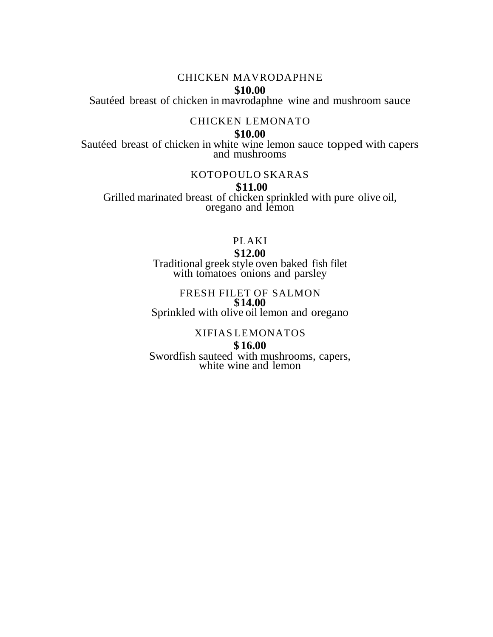#### CHICKEN MAVRODAPHNE

#### **\$10.00**

Sautéed breast of chicken in mavrodaphne wine and mushroom sauce

#### CHICKEN LEMONATO

#### **\$10.00**

Sautéed breast of chicken in white wine lemon sauce topped with capers and mushrooms

#### KOTOPOULO SKARAS

#### **\$11.00**

Grilled marinated breast of chicken sprinkled with pure olive oil, oregano and lemon

## PLAKI

#### **\$12.00**

Traditional greek style oven baked fish filet with tomatoes onions and parsley

#### FRESH FILET OF SALMON **\$14.00** Sprinkled with olive oil lemon and oregano

#### XIFIAS LEMONATOS

#### **\$ 16.00**

Swordfish sauteed with mushrooms, capers, white wine and lemon